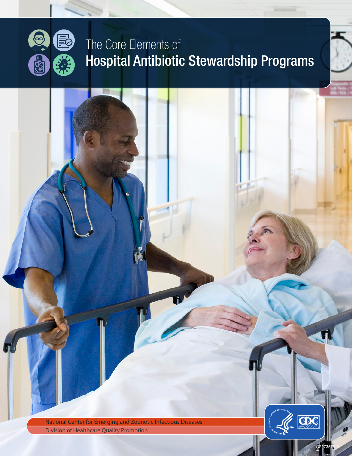

# The Core Elements of Hospital Antibiotic Stewardship Programs

CDC National Center for Emerging and Zoonotic Infectious Diseases Division of Healthcare Quality Promotion CORE ELEMENTS OF HOSPITAL ANTIBIOTIC STEWARDSHIP PROGRAMS 1

CS273578-A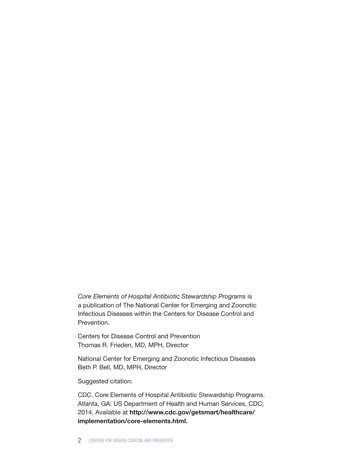*Core Elements of Hospital Antibiotic Stewardship Programs* is a publication of The National Center for Emerging and Zoonotic Infectious Diseases within the Centers for Disease Control and Prevention.

Centers for Disease Control and Prevention Thomas R. Frieden, MD, MPH, Director

National Center for Emerging and Zoonotic Infectious Diseases Beth P. Bell, MD, MPH, Director

Suggested citation:

CDC. Core Elements of Hospital Antibiotic Stewardship Programs. Atlanta, GA: US Department of Health and Human Services, CDC; 2014. Available at [http://www.cdc.gov/getsmart/healthcare/](http://www.cdc.gov/getsmart/healthcare/implementation/core-elements.html) [implementation/core-elements.html](http://www.cdc.gov/getsmart/healthcare/implementation/core-elements.html).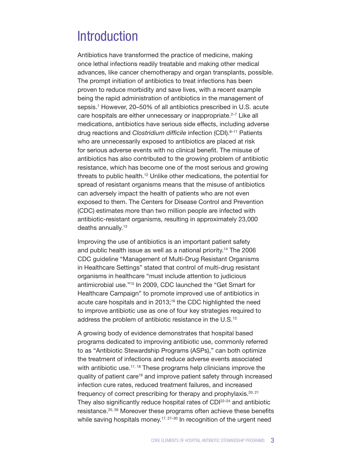### **Introduction**

Antibiotics have transformed the practice of medicine, making once lethal infections readily treatable and making other medical advances, like cancer chemotherapy and organ transplants, possible. The prompt initiation of antibiotics to treat infections has been proven to reduce morbidity and save lives, with a recent example being the rapid administration of antibiotics in the management of sepsis.<sup>1</sup> However, 20–50% of all antibiotics prescribed in U.S. acute care hospitals are either unnecessary or inappropriate.<sup>2-7</sup> Like all medications, antibiotics have serious side effects, including adverse drug reactions and *Clostridium difficile* infection (CDI).<sup>8-11</sup> Patients who are unnecessarily exposed to antibiotics are placed at risk for serious adverse events with no clinical benefit. The misuse of antibiotics has also contributed to the growing problem of antibiotic resistance, which has become one of the most serious and growing threats to public health.12 Unlike other medications, the potential for spread of resistant organisms means that the misuse of antibiotics can adversely impact the health of patients who are not even exposed to them. The Centers for Disease Control and Prevention (CDC) estimates more than two million people are infected with antibiotic-resistant organisms, resulting in approximately 23,000 deaths annually.<sup>13</sup>

Improving the use of antibiotics is an important patient safety and public health issue as well as a national priority.14 The 2006 CDC guideline "Management of Multi-Drug Resistant Organisms in Healthcare Settings" stated that control of multi-drug resistant organisms in healthcare "must include attention to judicious antimicrobial use."15 In 2009, CDC launched the "Get Smart for Healthcare Campaign" to promote improved use of antibiotics in acute care hospitals and in 2013;<sup>16</sup> the CDC highlighted the need to improve antibiotic use as one of four key strategies required to address the problem of antibiotic resistance in the U.S.<sup>13</sup>

A growing body of evidence demonstrates that hospital based programs dedicated to improving antibiotic use, commonly referred to as "Antibiotic Stewardship Programs (ASPs)," can both optimize the treatment of infections and reduce adverse events associated with antibiotic use.<sup>17, 18</sup> These programs help clinicians improve the quality of patient care<sup>19</sup> and improve patient safety through increased infection cure rates, reduced treatment failures, and increased frequency of correct prescribing for therapy and prophylaxis.<sup>20, 21</sup> They also significantly reduce hospital rates of CDI<sup>22-24</sup> and antibiotic resistance.25, 26 Moreover these programs often achieve these benefits while saving hospitals money.<sup>17, 27-30</sup> In recognition of the urgent need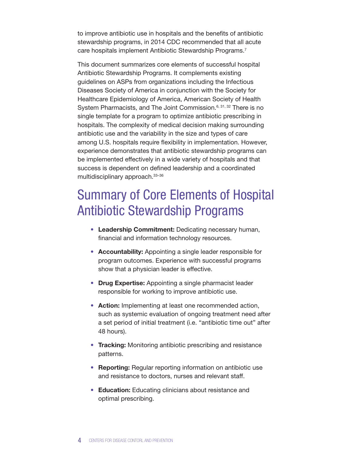to improve antibiotic use in hospitals and the benefits of antibiotic stewardship programs, in 2014 CDC recommended that all acute care hospitals implement Antibiotic Stewardship Programs.7

This document summarizes core elements of successful hospital Antibiotic Stewardship Programs. It complements existing guidelines on ASPs from organizations including the Infectious Diseases Society of America in conjunction with the Society for Healthcare Epidemiology of America, American Society of Health System Pharmacists, and The Joint Commission.<sup>6, 31, 32</sup> There is no single template for a program to optimize antibiotic prescribing in hospitals. The complexity of medical decision making surrounding antibiotic use and the variability in the size and types of care among U.S. hospitals require flexibility in implementation. However, experience demonstrates that antibiotic stewardship programs can be implemented effectively in a wide variety of hospitals and that success is dependent on defined leadership and a coordinated multidisciplinary approach.33–36

### Summary of Core Elements of Hospital Antibiotic Stewardship Programs

- Leadership Commitment: Dedicating necessary human, financial and information technology resources.
- Accountability: Appointing a single leader responsible for program outcomes. Experience with successful programs show that a physician leader is effective.
- Drug Expertise: Appointing a single pharmacist leader responsible for working to improve antibiotic use.
- Action: Implementing at least one recommended action, such as systemic evaluation of ongoing treatment need after a set period of initial treatment (i.e. "antibiotic time out" after 48 hours).
- Tracking: Monitoring antibiotic prescribing and resistance patterns.
- Reporting: Regular reporting information on antibiotic use and resistance to doctors, nurses and relevant staff.
- Education: Educating clinicians about resistance and optimal prescribing.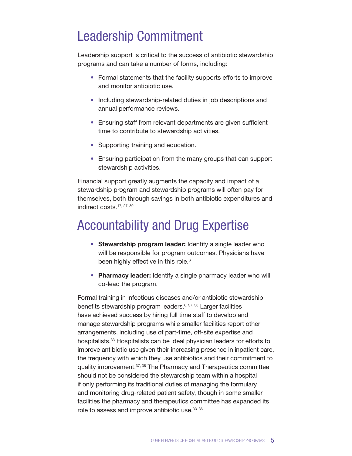## Leadership Commitment

Leadership support is critical to the success of antibiotic stewardship programs and can take a number of forms, including:

- Formal statements that the facility supports efforts to improve and monitor antibiotic use.
- Including stewardship-related duties in job descriptions and annual performance reviews.
- Ensuring staff from relevant departments are given sufficient time to contribute to stewardship activities.
- Supporting training and education.
- Ensuring participation from the many groups that can support stewardship activities.

Financial support greatly augments the capacity and impact of a stewardship program and stewardship programs will often pay for themselves, both through savings in both antibiotic expenditures and indirect costs.17, 27–30

## Accountability and Drug Expertise

- Stewardship program leader: Identify a single leader who will be responsible for program outcomes. Physicians have been highly effective in this role.<sup>6</sup>
- Pharmacy leader: Identify a single pharmacy leader who will co-lead the program.

Formal training in infectious diseases and/or antibiotic stewardship benefits stewardship program leaders.<sup>6, 37, 38</sup> Larger facilities have achieved success by hiring full time staff to develop and manage stewardship programs while smaller facilities report other arrangements, including use of part-time, off-site expertise and hospitalists.<sup>33</sup> Hospitalists can be ideal physician leaders for efforts to improve antibiotic use given their increasing presence in inpatient care, the frequency with which they use antibiotics and their commitment to quality improvement.<sup>37, 38</sup> The Pharmacy and Therapeutics committee should not be considered the stewardship team within a hospital if only performing its traditional duties of managing the formulary and monitoring drug-related patient safety, though in some smaller facilities the pharmacy and therapeutics committee has expanded its role to assess and improve antibiotic use.33–36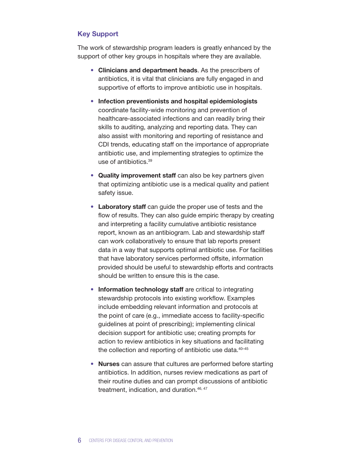#### Key Support

The work of stewardship program leaders is greatly enhanced by the support of other key groups in hospitals where they are available.

- Clinicians and department heads. As the prescribers of antibiotics, it is vital that clinicians are fully engaged in and supportive of efforts to improve antibiotic use in hospitals.
- Infection preventionists and hospital epidemiologists coordinate facility-wide monitoring and prevention of healthcare-associated infections and can readily bring their skills to auditing, analyzing and reporting data. They can also assist with monitoring and reporting of resistance and CDI trends, educating staff on the importance of appropriate antibiotic use, and implementing strategies to optimize the use of antibiotics.39
- Quality improvement staff can also be key partners given that optimizing antibiotic use is a medical quality and patient safety issue.
- Laboratory staff can guide the proper use of tests and the flow of results. They can also guide empiric therapy by creating and interpreting a facility cumulative antibiotic resistance report, known as an antibiogram. Lab and stewardship staff can work collaboratively to ensure that lab reports present data in a way that supports optimal antibiotic use. For facilities that have laboratory services performed offsite, information provided should be useful to stewardship efforts and contracts should be written to ensure this is the case.
- Information technology staff are critical to integrating stewardship protocols into existing workflow. Examples include embedding relevant information and protocols at the point of care (e.g., immediate access to facility-specific guidelines at point of prescribing); implementing clinical decision support for antibiotic use; creating prompts for action to review antibiotics in key situations and facilitating the collection and reporting of antibiotic use data.<sup>40-45</sup>
- Nurses can assure that cultures are performed before starting antibiotics. In addition, nurses review medications as part of their routine duties and can prompt discussions of antibiotic treatment, indication, and duration.<sup>46, 47</sup>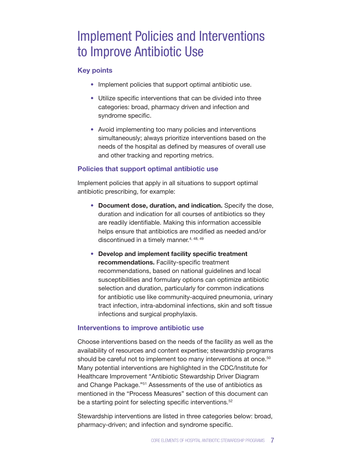### Implement Policies and Interventions to Improve Antibiotic Use

#### Key points

- Implement policies that support optimal antibiotic use.
- Utilize specific interventions that can be divided into three categories: broad, pharmacy driven and infection and syndrome specific.
- Avoid implementing too many policies and interventions simultaneously; always prioritize interventions based on the needs of the hospital as defined by measures of overall use and other tracking and reporting metrics.

#### Policies that support optimal antibiotic use

Implement policies that apply in all situations to support optimal antibiotic prescribing, for example:

- Document dose, duration, and indication. Specify the dose, duration and indication for all courses of antibiotics so they are readily identifiable. Making this information accessible helps ensure that antibiotics are modified as needed and/or discontinued in a timely manner.<sup>4, 48, 49</sup>
- Develop and implement facility specific treatment recommendations. Facility-specific treatment recommendations, based on national guidelines and local susceptibilities and formulary options can optimize antibiotic selection and duration, particularly for common indications for antibiotic use like community-acquired pneumonia, urinary tract infection, intra-abdominal infections, skin and soft tissue infections and surgical prophylaxis.

#### Interventions to improve antibiotic use

Choose interventions based on the needs of the facility as well as the availability of resources and content expertise; stewardship programs should be careful not to implement too many interventions at once.<sup>50</sup> Many potential interventions are highlighted in the CDC/Institute for Healthcare Improvement "Antibiotic Stewardship Driver Diagram and Change Package."51 Assessments of the use of antibiotics as mentioned in the "Process Measures" section of this document can be a starting point for selecting specific interventions.<sup>52</sup>

Stewardship interventions are listed in three categories below: broad, pharmacy-driven; and infection and syndrome specific.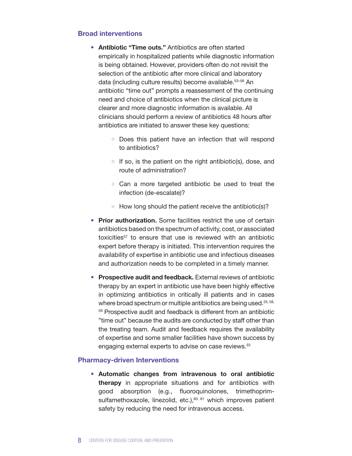#### Broad interventions

- Antibiotic "Time outs." Antibiotics are often started empirically in hospitalized patients while diagnostic information is being obtained. However, providers often do not revisit the selection of the antibiotic after more clinical and laboratory data (including culture results) become available.53–56 An antibiotic "time out" prompts a reassessment of the continuing need and choice of antibiotics when the clinical picture is clearer and more diagnostic information is available. All clinicians should perform a review of antibiotics 48 hours after antibiotics are initiated to answer these key questions:
	- o Does this patient have an infection that will respond to antibiotics?
	- $\circ$  If so, is the patient on the right antibiotic(s), dose, and route of administration?
	- Can a more targeted antibiotic be used to treat the infection (de-escalate)?
	- $\bullet$  How long should the patient receive the antibiotic(s)?
- Prior authorization. Some facilities restrict the use of certain antibiotics based on the spectrum of activity, cost, or associated toxicities<sup>57</sup> to ensure that use is reviewed with an antibiotic expert before therapy is initiated. This intervention requires the availability of expertise in antibiotic use and infectious diseases and authorization needs to be completed in a timely manner.
- Prospective audit and feedback. External reviews of antibiotic therapy by an expert in antibiotic use have been highly effective in optimizing antibiotics in critically ill patients and in cases where broad spectrum or multiple antibiotics are being used.<sup>25,58,</sup> <sup>59</sup> Prospective audit and feedback is different from an antibiotic "time out" because the audits are conducted by staff other than the treating team. Audit and feedback requires the availability of expertise and some smaller facilities have shown success by engaging external experts to advise on case reviews.<sup>33</sup>

#### Pharmacy-driven Interventions

• Automatic changes from intravenous to oral antibiotic therapy in appropriate situations and for antibiotics with good absorption (e.g., fluoroquinolones, trimethoprimsulfamethoxazole, linezolid, etc.), $60, 61$  which improves patient safety by reducing the need for intravenous access.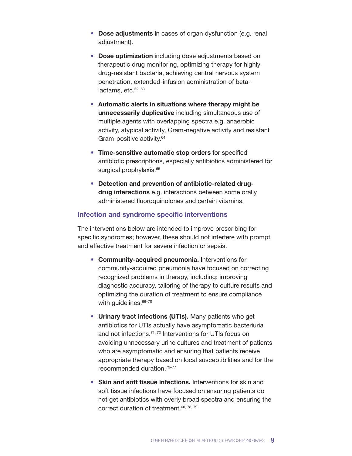- Dose adjustments in cases of organ dysfunction (e.g. renal adjustment).
- Dose optimization including dose adjustments based on therapeutic drug monitoring, optimizing therapy for highly drug-resistant bacteria, achieving central nervous system penetration, extended-infusion administration of betalactams,  $etc.<sup>62, 63</sup>$
- Automatic alerts in situations where therapy might be unnecessarily duplicative including simultaneous use of multiple agents with overlapping spectra e.g. anaerobic activity, atypical activity, Gram-negative activity and resistant Gram-positive activity.64
- Time-sensitive automatic stop orders for specified antibiotic prescriptions, especially antibiotics administered for surgical prophylaxis.<sup>65</sup>
- Detection and prevention of antibiotic-related drugdrug interactions e.g. interactions between some orally administered fluoroquinolones and certain vitamins.

#### Infection and syndrome specific interventions

The interventions below are intended to improve prescribing for specific syndromes; however, these should not interfere with prompt and effective treatment for severe infection or sepsis.

- Community-acquired pneumonia. Interventions for community-acquired pneumonia have focused on correcting recognized problems in therapy, including: improving diagnostic accuracy, tailoring of therapy to culture results and optimizing the duration of treatment to ensure compliance with quidelines.<sup>66-70</sup>
- Urinary tract infections (UTIs). Many patients who get antibiotics for UTIs actually have asymptomatic bacteriuria and not infections.<sup>71, 72</sup> Interventions for UTIs focus on avoiding unnecessary urine cultures and treatment of patients who are asymptomatic and ensuring that patients receive appropriate therapy based on local susceptibilities and for the recommended duration.73–77
- Skin and soft tissue infections. Interventions for skin and soft tissue infections have focused on ensuring patients do not get antibiotics with overly broad spectra and ensuring the correct duration of treatment.<sup>60, 78, 79</sup>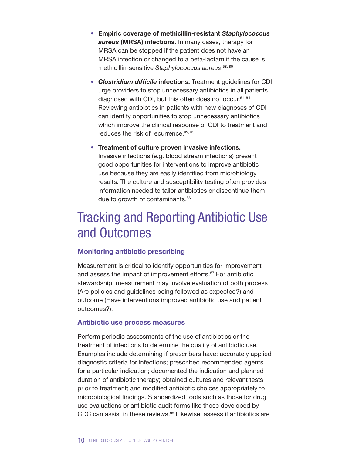- Empiric coverage of methicillin-resistant *Staphylococcus aureus* (MRSA) infections. In many cases, therapy for MRSA can be stopped if the patient does not have an MRSA infection or changed to a beta-lactam if the cause is methicillin-sensitive *Staphylococcus aureus*. 58, 80
- *Clostridium difficile* infections. Treatment guidelines for CDI urge providers to stop unnecessary antibiotics in all patients diagnosed with CDI, but this often does not occur.<sup>81-84</sup> Reviewing antibiotics in patients with new diagnoses of CDI can identify opportunities to stop unnecessary antibiotics which improve the clinical response of CDI to treatment and reduces the risk of recurrence. 82, 85
- Treatment of culture proven invasive infections. Invasive infections (e.g. blood stream infections) present good opportunities for interventions to improve antibiotic use because they are easily identified from microbiology results. The culture and susceptibility testing often provides information needed to tailor antibiotics or discontinue them due to growth of contaminants.<sup>86</sup>

### Tracking and Reporting Antibiotic Use and Outcomes

#### Monitoring antibiotic prescribing

Measurement is critical to identify opportunities for improvement and assess the impact of improvement efforts.87 For antibiotic stewardship, measurement may involve evaluation of both process (Are policies and guidelines being followed as expected?) and outcome (Have interventions improved antibiotic use and patient outcomes?).

#### Antibiotic use process measures

Perform periodic assessments of the use of antibiotics or the treatment of infections to determine the quality of antibiotic use. Examples include determining if prescribers have: accurately applied diagnostic criteria for infections; prescribed recommended agents for a particular indication; documented the indication and planned duration of antibiotic therapy; obtained cultures and relevant tests prior to treatment; and modified antibiotic choices appropriately to microbiological findings. Standardized tools such as those for drug use evaluations or antibiotic audit forms like those developed by CDC can assist in these reviews.<sup>88</sup> Likewise, assess if antibiotics are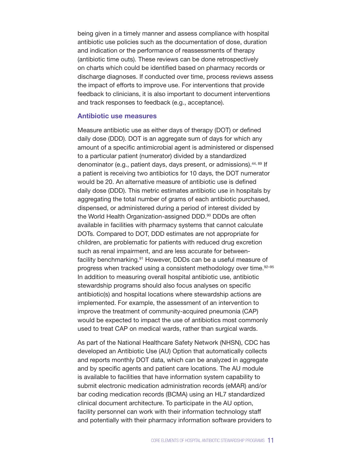being given in a timely manner and assess compliance with hospital antibiotic use policies such as the documentation of dose, duration and indication or the performance of reassessments of therapy (antibiotic time outs). These reviews can be done retrospectively on charts which could be identified based on pharmacy records or discharge diagnoses. If conducted over time, process reviews assess the impact of efforts to improve use. For interventions that provide feedback to clinicians, it is also important to document interventions and track responses to feedback (e.g., acceptance).

#### Antibiotic use measures

Measure antibiotic use as either days of therapy (DOT) or defined daily dose (DDD). DOT is an aggregate sum of days for which any amount of a specific antimicrobial agent is administered or dispensed to a particular patient (numerator) divided by a standardized denominator (e.g., patient days, days present, or admissions).<sup>44, 89</sup> If a patient is receiving two antibiotics for 10 days, the DOT numerator would be 20. An alternative measure of antibiotic use is defined daily dose (DDD). This metric estimates antibiotic use in hospitals by aggregating the total number of grams of each antibiotic purchased, dispensed, or administered during a period of interest divided by the World Health Organization-assigned DDD.<sup>90</sup> DDDs are often available in facilities with pharmacy systems that cannot calculate DOTs. Compared to DOT, DDD estimates are not appropriate for children, are problematic for patients with reduced drug excretion such as renal impairment, and are less accurate for betweenfacility benchmarking.<sup>91</sup> However, DDDs can be a useful measure of progress when tracked using a consistent methodology over time.92–95 In addition to measuring overall hospital antibiotic use, antibiotic stewardship programs should also focus analyses on specific antibiotic(s) and hospital locations where stewardship actions are implemented. For example, the assessment of an intervention to improve the treatment of community-acquired pneumonia (CAP) would be expected to impact the use of antibiotics most commonly used to treat CAP on medical wards, rather than surgical wards.

As part of the National Healthcare Safety Network (NHSN), CDC has developed an Antibiotic Use (AU) Option that automatically collects and reports monthly DOT data, which can be analyzed in aggregate and by specific agents and patient care locations. The AU module is available to facilities that have information system capability to submit electronic medication administration records (eMAR) and/or bar coding medication records (BCMA) using an HL7 standardized clinical document architecture. To participate in the AU option, facility personnel can work with their information technology staff and potentially with their pharmacy information software providers to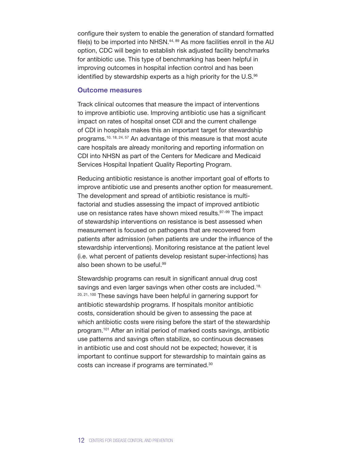configure their system to enable the generation of standard formatted file(s) to be imported into NHSN.<sup>44, 89</sup> As more facilities enroll in the AU option, CDC will begin to establish risk adjusted facility benchmarks for antibiotic use. This type of benchmarking has been helpful in improving outcomes in hospital infection control and has been identified by stewardship experts as a high priority for the U.S.<sup>96</sup>

#### Outcome measures

Track clinical outcomes that measure the impact of interventions to improve antibiotic use. Improving antibiotic use has a significant impact on rates of hospital onset CDI and the current challenge of CDI in hospitals makes this an important target for stewardship programs.10, 18, 24, 57 An advantage of this measure is that most acute care hospitals are already monitoring and reporting information on CDI into NHSN as part of the Centers for Medicare and Medicaid Services Hospital Inpatient Quality Reporting Program.

Reducing antibiotic resistance is another important goal of efforts to improve antibiotic use and presents another option for measurement. The development and spread of antibiotic resistance is multifactorial and studies assessing the impact of improved antibiotic use on resistance rates have shown mixed results.<sup>97-99</sup> The impact of stewardship interventions on resistance is best assessed when measurement is focused on pathogens that are recovered from patients after admission (when patients are under the influence of the stewardship interventions). Monitoring resistance at the patient level (i.e. what percent of patients develop resistant super-infections) has also been shown to be useful.99

Stewardship programs can result in significant annual drug cost savings and even larger savings when other costs are included.<sup>18,</sup>  $20, 21, 100$  These savings have been helpful in garnering support for antibiotic stewardship programs. If hospitals monitor antibiotic costs, consideration should be given to assessing the pace at which antibiotic costs were rising before the start of the stewardship program.101 After an initial period of marked costs savings, antibiotic use patterns and savings often stabilize, so continuous decreases in antibiotic use and cost should not be expected; however, it is important to continue support for stewardship to maintain gains as costs can increase if programs are terminated.30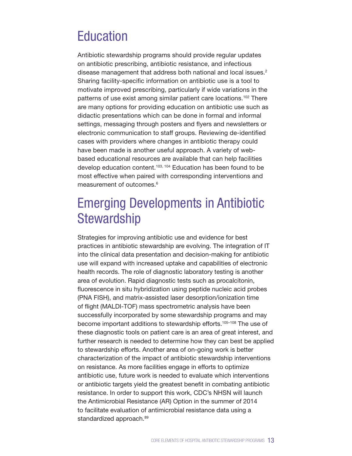### Education

Antibiotic stewardship programs should provide regular updates on antibiotic prescribing, antibiotic resistance, and infectious disease management that address both national and local issues.2 Sharing facility-specific information on antibiotic use is a tool to motivate improved prescribing, particularly if wide variations in the patterns of use exist among similar patient care locations.102 There are many options for providing education on antibiotic use such as didactic presentations which can be done in formal and informal settings, messaging through posters and flyers and newsletters or electronic communication to staff groups. Reviewing de-identified cases with providers where changes in antibiotic therapy could have been made is another useful approach. A variety of webbased educational resources are available that can help facilities develop education content.<sup>103, 104</sup> Education has been found to be most effective when paired with corresponding interventions and measurement of outcomes.<sup>6</sup>

### Emerging Developments in Antibiotic **Stewardship**

Strategies for improving antibiotic use and evidence for best practices in antibiotic stewardship are evolving. The integration of IT into the clinical data presentation and decision-making for antibiotic use will expand with increased uptake and capabilities of electronic health records. The role of diagnostic laboratory testing is another area of evolution. Rapid diagnostic tests such as procalcitonin, fluorescence in situ hybridization using peptide nucleic acid probes (PNA FISH), and matrix-assisted laser desorption/ionization time of flight (MALDI-TOF) mass spectrometric analysis have been successfully incorporated by some stewardship programs and may become important additions to stewardship efforts.<sup>105-108</sup> The use of these diagnostic tools on patient care is an area of great interest, and further research is needed to determine how they can best be applied to stewardship efforts. Another area of on-going work is better characterization of the impact of antibiotic stewardship interventions on resistance. As more facilities engage in efforts to optimize antibiotic use, future work is needed to evaluate which interventions or antibiotic targets yield the greatest benefit in combating antibiotic resistance. In order to support this work, CDC's NHSN will launch the Antimicrobial Resistance (AR) Option in the summer of 2014 to facilitate evaluation of antimicrobial resistance data using a standardized approach.<sup>89</sup>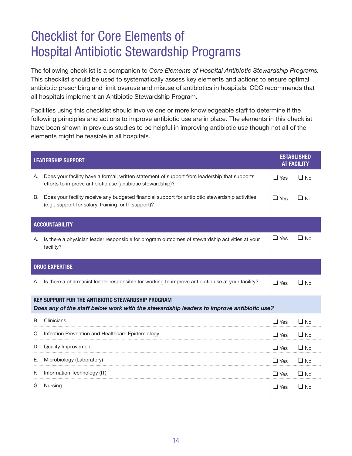## Checklist for Core Elements of Hospital Antibiotic Stewardship Programs

The following checklist is a companion to *Core Elements of Hospital Antibiotic Stewardship Programs.*  This checklist should be used to systematically assess key elements and actions to ensure optimal antibiotic prescribing and limit overuse and misuse of antibiotics in hospitals. CDC recommends that all hospitals implement an Antibiotic Stewardship Program.

Facilities using this checklist should involve one or more knowledgeable staff to determine if the following principles and actions to improve antibiotic use are in place. The elements in this checklist have been shown in previous studies to be helpful in improving antibiotic use though not all of the elements might be feasible in all hospitals.

| <b>LEADERSHIP SUPPORT</b>                                                                                                                             |                                                                                                                                                             |            | <b>ESTABLISHED</b><br><b>AT FACILITY</b> |  |  |
|-------------------------------------------------------------------------------------------------------------------------------------------------------|-------------------------------------------------------------------------------------------------------------------------------------------------------------|------------|------------------------------------------|--|--|
| А.                                                                                                                                                    | Does your facility have a formal, written statement of support from leadership that supports<br>efforts to improve antibiotic use (antibiotic stewardship)? | $\Box$ Yes | $\Box$ No                                |  |  |
|                                                                                                                                                       | B. Does your facility receive any budgeted financial support for antibiotic stewardship activities<br>(e.g., support for salary, training, or IT support)?  | $\Box$ Yes | $\Box$ No                                |  |  |
| <b>ACCOUNTABILITY</b>                                                                                                                                 |                                                                                                                                                             |            |                                          |  |  |
| Α.                                                                                                                                                    | Is there a physician leader responsible for program outcomes of stewardship activities at your<br>facility?                                                 | $\Box$ Yes | $\Box$ No                                |  |  |
| <b>DRUG EXPERTISE</b>                                                                                                                                 |                                                                                                                                                             |            |                                          |  |  |
| Α.                                                                                                                                                    | Is there a pharmacist leader responsible for working to improve antibiotic use at your facility?                                                            | $\Box$ Yes | $\Box$ No                                |  |  |
| <b>KEY SUPPORT FOR THE ANTIBIOTIC STEWARDSHIP PROGRAM</b><br>Does any of the staff below work with the stewardship leaders to improve antibiotic use? |                                                                                                                                                             |            |                                          |  |  |
| B.                                                                                                                                                    | Clinicians                                                                                                                                                  | $\Box$ Yes | $\Box$ No                                |  |  |
|                                                                                                                                                       | C. Infection Prevention and Healthcare Epidemiology                                                                                                         | $\Box$ Yes | $\Box$ No                                |  |  |
|                                                                                                                                                       | D. Quality Improvement                                                                                                                                      | $\Box$ Yes | $\Box$ No                                |  |  |
| Е.                                                                                                                                                    | Microbiology (Laboratory)                                                                                                                                   | $\Box$ Yes | $\Box$ No                                |  |  |
| F.                                                                                                                                                    | Information Technology (IT)                                                                                                                                 | $\Box$ Yes | $\Box$ No                                |  |  |
|                                                                                                                                                       | G. Nursing                                                                                                                                                  | $\Box$ Yes | $\Box$ No                                |  |  |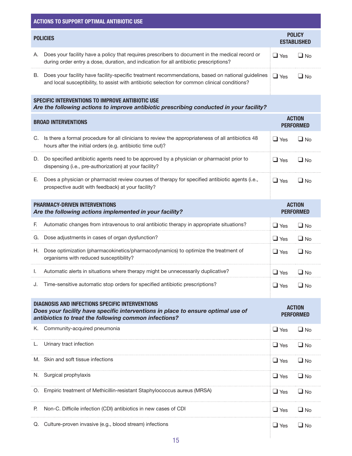| <b>ACTIONS TO SUPPORT OPTIMAL ANTIBIOTIC USE</b>                                                                                                                                                    |                                                                                                                                                                                                    |                                   |                                     |  |  |  |
|-----------------------------------------------------------------------------------------------------------------------------------------------------------------------------------------------------|----------------------------------------------------------------------------------------------------------------------------------------------------------------------------------------------------|-----------------------------------|-------------------------------------|--|--|--|
| <b>POLICIES</b>                                                                                                                                                                                     |                                                                                                                                                                                                    |                                   | <b>POLICY</b><br><b>ESTABLISHED</b> |  |  |  |
| А.                                                                                                                                                                                                  | Does your facility have a policy that requires prescribers to document in the medical record or<br>during order entry a dose, duration, and indication for all antibiotic prescriptions?           | $\Box$ Yes                        | $\Box$ No                           |  |  |  |
| В.                                                                                                                                                                                                  | Does your facility have facility-specific treatment recommendations, based on national guidelines<br>and local susceptibility, to assist with antibiotic selection for common clinical conditions? | $\Box$ Yes                        | $\Box$ No                           |  |  |  |
| SPECIFIC INTERVENTIONS TO IMPROVE ANTIBIOTIC USE<br>Are the following actions to improve antibiotic prescribing conducted in your facility?                                                         |                                                                                                                                                                                                    |                                   |                                     |  |  |  |
| <b>BROAD INTERVENTIONS</b>                                                                                                                                                                          |                                                                                                                                                                                                    |                                   | <b>ACTION</b><br><b>PERFORMED</b>   |  |  |  |
| C.                                                                                                                                                                                                  | Is there a formal procedure for all clinicians to review the appropriateness of all antibiotics 48<br>hours after the initial orders (e.g. antibiotic time out)?                                   | $\Box$ Yes                        | $\Box$ No                           |  |  |  |
|                                                                                                                                                                                                     | D. Do specified antibiotic agents need to be approved by a physician or pharmacist prior to<br>dispensing (i.e., pre-authorization) at your facility?                                              | $\Box$ Yes                        | $\Box$ No                           |  |  |  |
| Е.                                                                                                                                                                                                  | Does a physician or pharmacist review courses of therapy for specified antibiotic agents (i.e.,<br>prospective audit with feedback) at your facility?                                              | $\Box$ Yes                        | $\Box$ No                           |  |  |  |
| <b>PHARMACY-DRIVEN INTERVENTIONS</b><br>Are the following actions implemented in your facility?                                                                                                     |                                                                                                                                                                                                    |                                   | <b>ACTION</b><br><b>PERFORMED</b>   |  |  |  |
| F.                                                                                                                                                                                                  | Automatic changes from intravenous to oral antibiotic therapy in appropriate situations?                                                                                                           | $\Box$ Yes                        | $\Box$ No                           |  |  |  |
| G.                                                                                                                                                                                                  | Dose adjustments in cases of organ dysfunction?                                                                                                                                                    | $\Box$ Yes                        | $\Box$ No                           |  |  |  |
| Η.                                                                                                                                                                                                  | Dose optimization (pharmacokinetics/pharmacodynamics) to optimize the treatment of<br>organisms with reduced susceptibility?                                                                       | $\Box$ Yes                        | $\Box$ No                           |  |  |  |
|                                                                                                                                                                                                     | Automatic alerts in situations where therapy might be unnecessarily duplicative?                                                                                                                   | $\Box$ Yes                        | $\Box$ No                           |  |  |  |
| J.                                                                                                                                                                                                  | Time-sensitive automatic stop orders for specified antibiotic prescriptions?                                                                                                                       | $\Box$ Yes                        | $\Box$ No                           |  |  |  |
| <b>DIAGNOSIS AND INFECTIONS SPECIFIC INTERVENTIONS</b><br>Does your facility have specific interventions in place to ensure optimal use of<br>antibiotics to treat the following common infections? |                                                                                                                                                                                                    | <b>ACTION</b><br><b>PERFORMED</b> |                                     |  |  |  |
| K.                                                                                                                                                                                                  | Community-acquired pneumonia                                                                                                                                                                       | $\Box$ Yes                        | $\Box$ No                           |  |  |  |
|                                                                                                                                                                                                     | Urinary tract infection                                                                                                                                                                            | $\Box$ Yes                        | $\Box$ No                           |  |  |  |
|                                                                                                                                                                                                     | M. Skin and soft tissue infections                                                                                                                                                                 | $\Box$ Yes                        | $\Box$ No                           |  |  |  |
|                                                                                                                                                                                                     | N. Surgical prophylaxis                                                                                                                                                                            | $\Box$ Yes                        | $\Box$ No                           |  |  |  |
|                                                                                                                                                                                                     | O. Empiric treatment of Methicillin-resistant Staphylococcus aureus (MRSA)                                                                                                                         | $\Box$ Yes                        | $\Box$ No                           |  |  |  |
| Е.                                                                                                                                                                                                  | Non-C. Difficile infection (CDI) antibiotics in new cases of CDI                                                                                                                                   | $\Box$ Yes                        | $\Box$ No                           |  |  |  |
|                                                                                                                                                                                                     | Q. Culture-proven invasive (e.g., blood stream) infections                                                                                                                                         | $\Box$ Yes                        | $\square$ No                        |  |  |  |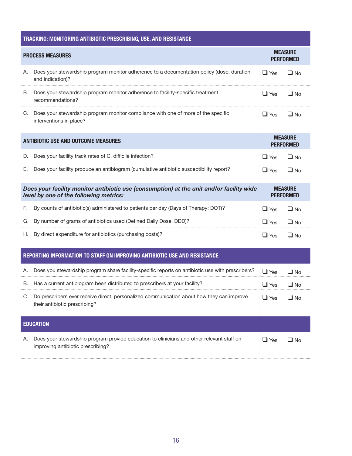| TRACKING: MONITORING ANTIBIOTIC PRESCRIBING, USE, AND RESISTANCE                                                                   |                                                                                                                                |            |                                    |  |  |  |  |
|------------------------------------------------------------------------------------------------------------------------------------|--------------------------------------------------------------------------------------------------------------------------------|------------|------------------------------------|--|--|--|--|
| <b>PROCESS MEASURES</b>                                                                                                            |                                                                                                                                |            | <b>MEASURE</b><br><b>PERFORMED</b> |  |  |  |  |
| А.                                                                                                                                 | Does your stewardship program monitor adherence to a documentation policy (dose, duration,<br>and indication)?                 | $\Box$ Yes | $\Box$ No                          |  |  |  |  |
| В.                                                                                                                                 | Does your stewardship program monitor adherence to facility-specific treatment<br>recommendations?                             | $\Box$ Yes | $\Box$ No                          |  |  |  |  |
| C.                                                                                                                                 | Does your stewardship program monitor compliance with one of more of the specific<br>interventions in place?                   | $\Box$ Yes | $\Box$ No                          |  |  |  |  |
| <b>ANTIBIOTIC USE AND OUTCOME MEASURES</b>                                                                                         |                                                                                                                                |            | <b>MEASURE</b><br><b>PERFORMED</b> |  |  |  |  |
| D.                                                                                                                                 | Does your facility track rates of C. difficile infection?                                                                      | $\Box$ Yes | $\Box$ No                          |  |  |  |  |
| Е.                                                                                                                                 | Does your facility produce an antibiogram (cumulative antibiotic susceptibility report?                                        | $\Box$ Yes | $\Box$ No                          |  |  |  |  |
| Does your facility monitor antibiotic use (consumption) at the unit and/or facility wide<br>level by one of the following metrics: |                                                                                                                                |            | <b>MEASURE</b><br><b>PERFORMED</b> |  |  |  |  |
| F.                                                                                                                                 | By counts of antibiotic(s) administered to patients per day (Days of Therapy; DOT)?                                            | $\Box$ Yes | $\Box$ No                          |  |  |  |  |
|                                                                                                                                    | G. By number of grams of antibiotics used (Defined Daily Dose, DDD)?                                                           | $\Box$ Yes | $\Box$ No                          |  |  |  |  |
|                                                                                                                                    | H. By direct expenditure for antibiotics (purchasing costs)?                                                                   | $\Box$ Yes | $\Box$ No                          |  |  |  |  |
| REPORTING INFORMATION TO STAFF ON IMPROVING ANTIBIOTIC USE AND RESISTANCE                                                          |                                                                                                                                |            |                                    |  |  |  |  |
| Α.                                                                                                                                 | Does you stewardship program share facility-specific reports on antibiotic use with prescribers?                               | $\Box$ Yes | $\Box$ No                          |  |  |  |  |
|                                                                                                                                    | B. Has a current antibiogram been distributed to prescribers at your facility?                                                 | $\Box$ Yes | $\Box$ No                          |  |  |  |  |
|                                                                                                                                    | C. Do prescribers ever receive direct, personalized communication about how they can improve<br>their antibiotic prescribing?  | $\Box$ Yes | $\Box$ No                          |  |  |  |  |
|                                                                                                                                    | <b>EDUCATION</b>                                                                                                               |            |                                    |  |  |  |  |
| А.                                                                                                                                 | Does your stewardship program provide education to clinicians and other relevant staff on<br>improving antibiotic prescribing? | $\Box$ Yes | $\Box$ No                          |  |  |  |  |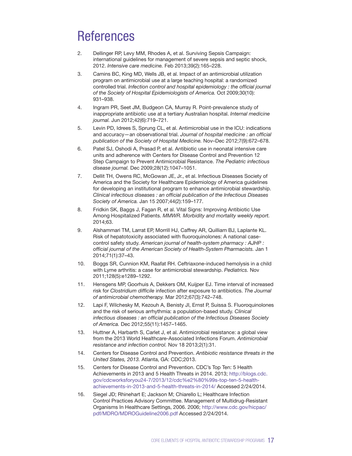### References

- 2. Dellinger RP, Levy MM, Rhodes A, et al. Surviving Sepsis Campaign: international guidelines for management of severe sepsis and septic shock, 2012. *Intensive care medicine.* Feb 2013;39(2):165–228.
- 3. Camins BC, King MD, Wells JB, et al. Impact of an antimicrobial utilization program on antimicrobial use at a large teaching hospital: a randomized controlled trial. *Infection control and hospital epidemiology : the official journal of the Society of Hospital Epidemiologists of America.* Oct 2009;30(10): 931–938.
- 4. Ingram PR, Seet JM, Budgeon CA, Murray R. Point-prevalence study of inappropriate antibiotic use at a tertiary Australian hospital. *Internal medicine journal.* Jun 2012;42(6):719–721.
- 5. Levin PD, Idrees S, Sprung CL, et al. Antimicrobial use in the ICU: indications and accuracy—an observational trial. *Journal of hospital medicine : an official publication of the Society of Hospital Medicine.* Nov–Dec 2012;7(9):672–678.
- 6. Patel SJ, Oshodi A, Prasad P, et al. Antibiotic use in neonatal intensive care units and adherence with Centers for Disease Control and Prevention 12 Step Campaign to Prevent Antimicrobial Resistance. *The Pediatric infectious disease journal.* Dec 2009;28(12):1047–1051.
- 7. Dellit TH, Owens RC, McGowan JE, Jr., et al. Infectious Diseases Society of America and the Society for Healthcare Epidemiology of America guidelines for developing an institutional program to enhance antimicrobial stewardship. *Clinical infectious diseases : an official publication of the Infectious Diseases Society of America.* Jan 15 2007;44(2):159–177.
- 8. Fridkin SK, Baggs J, Fagan R, et al. Vital Signs: Improving Antibiotic Use Among Hospitalized Patients. *MMWR. Morbidity and mortality weekly report.* 2014;63.
- 9. Alshammari TM, Larrat EP, Morrill HJ, Caffrey AR, Quilliam BJ, Laplante KL. Risk of hepatotoxicity associated with fluoroquinolones: A national casecontrol safety study. *American journal of health-system pharmacy : AJHP : official journal of the American Society of Health-System Pharmacists.* Jan 1 2014;71(1):37–43.
- 10. Boggs SR, Cunnion KM, Raafat RH. Ceftriaxone-induced hemolysis in a child with Lyme arthritis: a case for antimicrobial stewardship. *Pediatrics.* Nov 2011;128(5):e1289–1292.
- 11. Hensgens MP, Goorhuis A, Dekkers OM, Kuijper EJ. Time interval of increased risk for *Clostridium difficile* infection after exposure to antibiotics. *The Journal of antimicrobial chemotherapy.* Mar 2012;67(3):742–748.
- 12. Lapi F, Wilchesky M, Kezouh A, Benisty JI, Ernst P, Suissa S. Fluoroquinolones and the risk of serious arrhythmia: a population-based study. *Clinical infectious diseases : an official publication of the Infectious Diseases Society of America.* Dec 2012;55(11):1457–1465.
- 13. Huttner A, Harbarth S, Carlet J, et al. Antimicrobial resistance: a global view from the 2013 World Healthcare-Associated Infections Forum. *Antimicrobial resistance and infection control.* Nov 18 2013;2(1):31.
- 14. Centers for Disease Control and Prevention. *Antibiotic resistance threats in the United States, 2013.* Atlanta, GA: CDC;2013.
- 15. Centers for Disease Control and Prevention. CDC's Top Ten: 5 Health Achievements in 2013 and 5 Health Threats in 2014. 2013; [http://blogs.cdc.](http://blogs.cdc.gov/cdcworksforyou24-7/2013/12/cdc%e2%80%99s-top-ten-5-health-achievements-in-2013-and-5-health-threats-in-2014/) [gov/cdcworksforyou24-7/2013/12/cdc%e2%80%99s-top-ten-5-health](http://blogs.cdc.gov/cdcworksforyou24-7/2013/12/cdc%e2%80%99s-top-ten-5-health-achievements-in-2013-and-5-health-threats-in-2014/)[achievements-in-2013-and-5-health-threats-in-2014/](http://blogs.cdc.gov/cdcworksforyou24-7/2013/12/cdc%e2%80%99s-top-ten-5-health-achievements-in-2013-and-5-health-threats-in-2014/) Accessed 2/24/2014.
- 16. Siegel JD; Rhinehart E; Jackson M; Chiarello L; Healthcare Infection Control Practices Advisory Committee. Management of Multidrug-Resistant Organisms In Healthcare Settings, 2006. 2006; [http://www.cdc.gov/hicpac/](http://www.cdc.gov/hicpac/pdf/MDRO/MDROGuideline2006.pdf) [pdf/MDRO/MDROGuideline2006.pdf](http://www.cdc.gov/hicpac/pdf/MDRO/MDROGuideline2006.pdf) Accessed 2/24/2014.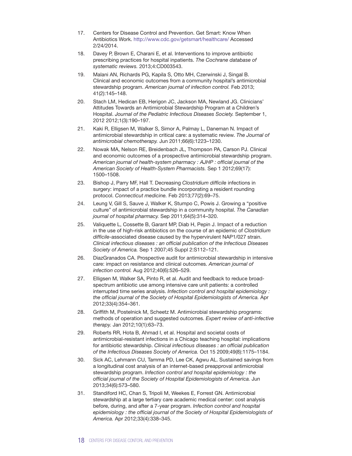- 17. Centers for Disease Control and Prevention. Get Smart: Know When Antibiotics Work. http://www.cdc.gov/getsmart/healthcare/ Accessed 2/24/2014.
- 18. Davey P, Brown E, Charani E, et al. Interventions to improve antibiotic prescribing practices for hospital inpatients. *The Cochrane database of systematic reviews.* 2013;4:CD003543.
- 19. Malani AN, Richards PG, Kapila S, Otto MH, Czerwinski J, Singal B. Clinical and economic outcomes from a community hospital's antimicrobial stewardship program. *American journal of infection control.* Feb 2013; 41(2):145–148.
- 20. Stach LM, Hedican EB, Herigon JC, Jackson MA, Newland JG. Clinicians' Attitudes Towards an Antimicrobial Stewardship Program at a Children's Hospital. *Journal of the Pediatric Infectious Diseases Society.* September 1, 2012 2012;1(3):190–197.
- 21. Kaki R, Elligsen M, Walker S, Simor A, Palmay L, Daneman N. Impact of antimicrobial stewardship in critical care: a systematic review. *The Journal of antimicrobial chemotherapy.* Jun 2011;66(6):1223–1230.
- 22. Nowak MA, Nelson RE, Breidenbach JL, Thompson PA, Carson PJ. Clinical and economic outcomes of a prospective antimicrobial stewardship program. *American journal of health-system pharmacy : AJHP : official journal of the American Society of Health-System Pharmacists.* Sep 1 2012;69(17): 1500–1508.
- 23. Bishop J, Parry MF, Hall T. Decreasing *Clostridium difficile* infections in surgery: impact of a practice bundle incorporating a resident rounding protocol. *Connecticut medicine.* Feb 2013;77(2):69–75.
- 24. Leung V, Gill S, Sauve J, Walker K, Stumpo C, Powis J. Growing a "positive culture" of antimicrobial stewardship in a community hospital. *The Canadian journal of hospital pharmacy.* Sep 2011;64(5):314–320.
- 25. Valiquette L, Cossette B, Garant MP, Diab H, Pepin J. Impact of a reduction in the use of high-risk antibiotics on the course of an epidemic of *Clostridium difficile*-associated disease caused by the hypervirulent NAP1/027 strain. *Clinical infectious diseases : an official publication of the Infectious Diseases Society of America.* Sep 1 2007;45 Suppl 2:S112–121.
- 26. DiazGranados CA. Prospective audit for antimicrobial stewardship in intensive care: impact on resistance and clinical outcomes. *American journal of infection control.* Aug 2012;40(6):526–529.
- 27. Elligsen M, Walker SA, Pinto R, et al. Audit and feedback to reduce broadspectrum antibiotic use among intensive care unit patients: a controlled interrupted time series analysis. *Infection control and hospital epidemiology : the official journal of the Society of Hospital Epidemiologists of America.* Apr 2012;33(4):354–361.
- 28. Griffith M, Postelnick M, Scheetz M. Antimicrobial stewardship programs: methods of operation and suggested outcomes. *Expert review of anti-infective therapy.* Jan 2012;10(1):63–73.
- 29. Roberts RR, Hota B, Ahmad I, et al. Hospital and societal costs of antimicrobial-resistant infections in a Chicago teaching hospital: implications for antibiotic stewardship. *Clinical infectious diseases : an official publication of the Infectious Diseases Society of America.* Oct 15 2009;49(8):1175–1184.
- 30. Sick AC, Lehmann CU, Tamma PD, Lee CK, Agwu AL. Sustained savings from a longitudinal cost analysis of an internet-based preapproval antimicrobial stewardship program. *Infection control and hospital epidemiology : the official journal of the Society of Hospital Epidemiologists of America.* Jun 2013;34(6):573–580.
- 31. Standiford HC, Chan S, Tripoli M, Weekes E, Forrest GN. Antimicrobial stewardship at a large tertiary care academic medical center: cost analysis before, during, and after a 7-year program. *Infection control and hospital epidemiology : the official journal of the Society of Hospital Epidemiologists of America.* Apr 2012;33(4):338–345.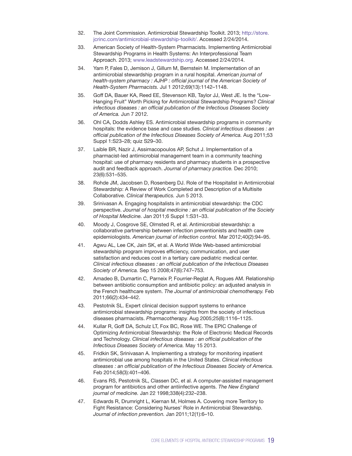- 32. The Joint Commission. Antimicrobial Stewardship Toolkit. 2013; [http://store.](http://store.jcrinc.com/antimicrobial-stewardship-toolkit/) [jcrinc.com/antimicrobial-stewardship-toolkit/](http://store.jcrinc.com/antimicrobial-stewardship-toolkit/). Accessed 2/24/2014.
- 33. American Society of Health-System Pharmacists. Implementing Antimicrobial Stewardship Programs in Health Systems: An Interprofessional Team Approach. 2013; [www.leadstewardship.org.](www.leadstewardship.org) Accessed 2/24/2014.
- 34. Yam P, Fales D, Jemison J, Gillum M, Bernstein M. Implementation of an antimicrobial stewardship program in a rural hospital. *American journal of health-system pharmacy : AJHP : official journal of the American Society of Health-System Pharmacists.* Jul 1 2012;69(13):1142–1148.
- 35. Goff DA, Bauer KA, Reed EE, Stevenson KB, Taylor JJ, West JE. Is the "Low-Hanging Fruit" Worth Picking for Antimicrobial Stewardship Programs? *Clinical infectious diseases : an official publication of the Infectious Diseases Society of America.* Jun 7 2012.
- 36. Ohl CA, Dodds Ashley ES. Antimicrobial stewardship programs in community hospitals: the evidence base and case studies. *Clinical infectious diseases : an official publication of the Infectious Diseases Society of America.* Aug 2011;53 Suppl 1:S23–28; quiz S29–30.
- 37. Laible BR, Nazir J, Assimacopoulos AP, Schut J. Implementation of a pharmacist-led antimicrobial management team in a community teaching hospital: use of pharmacy residents and pharmacy students in a prospective audit and feedback approach. *Journal of pharmacy practice.* Dec 2010; 23(6):531–535.
- 38. Rohde JM, Jacobsen D, Rosenberg DJ. Role of the Hospitalist in Antimicrobial Stewardship: A Review of Work Completed and Description of a Multisite Collaborative. *Clinical therapeutics.* Jun 5 2013.
- 39. Srinivasan A. Engaging hospitalists in antimicrobial stewardship: the CDC perspective. *Journal of hospital medicine : an official publication of the Society of Hospital Medicine.* Jan 2011;6 Suppl 1:S31–33.
- 40. Moody J, Cosgrove SE, Olmsted R, et al. Antimicrobial stewardship: a collaborative partnership between infection preventionists and health care epidemiologists. *American journal of infection control.* Mar 2012;40(2):94–95.
- 41. Agwu AL, Lee CK, Jain SK, et al. A World Wide Web-based antimicrobial stewardship program improves efficiency, communication, and user satisfaction and reduces cost in a tertiary care pediatric medical center. *Clinical infectious diseases : an official publication of the Infectious Diseases Society of America.* Sep 15 2008;47(6):747–753.
- 42. Amadeo B, Dumartin C, Parneix P, Fourrier-Reglat A, Rogues AM. Relationship between antibiotic consumption and antibiotic policy: an adjusted analysis in the French healthcare system. *The Journal of antimicrobial chemotherapy.* Feb 2011;66(2):434–442.
- 43. Pestotnik SL. Expert clinical decision support systems to enhance antimicrobial stewardship programs: insights from the society of infectious diseases pharmacists. *Pharmacotherapy.* Aug 2005;25(8):1116–1125.
- 44. Kullar R, Goff DA, Schulz LT, Fox BC, Rose WE. The EPIC Challenge of Optimizing Antimicrobial Stewardship: the Role of Electronic Medical Records and Technology. *Clinical infectious diseases : an official publication of the Infectious Diseases Society of America.* May 15 2013.
- 45. Fridkin SK, Srinivasan A. Implementing a strategy for monitoring inpatient antimicrobial use among hospitals in the United States. *Clinical infectious diseases : an official publication of the Infectious Diseases Society of America.*  Feb 2014;58(3):401–406.
- 46. Evans RS, Pestotnik SL, Classen DC, et al. A computer-assisted management program for antibiotics and other antiinfective agents. *The New England journal of medicine.* Jan 22 1998;338(4):232–238.
- 47. Edwards R, Drumright L, Kiernan M, Holmes A. Covering more Territory to Fight Resistance: Considering Nurses' Role in Antimicrobial Stewardship. *Journal of infection prevention.* Jan 2011;12(1):6–10.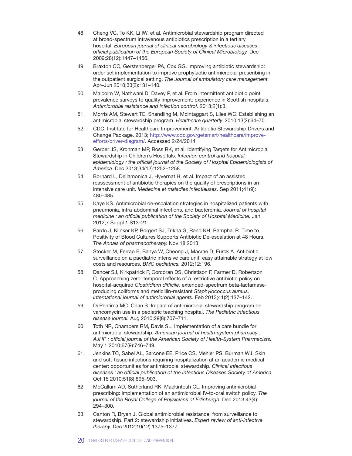- 48. Cheng VC, To KK, Li IW, et al. Antimicrobial stewardship program directed at broad-spectrum intravenous antibiotics prescription in a tertiary hospital. *European journal of clinical microbiology & infectious diseases : official publication of the European Society of Clinical Microbiology.* Dec 2009;28(12):1447–1456.
- 49. Braxton CC, Gerstenberger PA, Cox GG. Improving antibiotic stewardship: order set implementation to improve prophylactic antimicrobial prescribing in the outpatient surgical setting. *The Journal of ambulatory care management.*  Apr–Jun 2010;33(2):131–140.
- 50. Malcolm W, Nathwani D, Davey P, et al. From intermittent antibiotic point prevalence surveys to quality improvement: experience in Scottish hospitals. *Antimicrobial resistance and infection control.* 2013;2(1):3.
- 51. Morris AM, Stewart TE, Shandling M, McIntaggart S, Liles WC. Establishing an antimicrobial stewardship program. *Healthcare quarterly.* 2010;13(2):64–70.
- 52. CDC, Institute for Healthcare Improvement. Antibiotic Stewardship Drivers and Change Package. 2013; [http://www.cdc.gov/getsmart/healthcare/improve](http://www.cdc.gov/getsmart/healthcare/improve-efforts/driver-diagram/)[efforts/driver-diagram/.](http://www.cdc.gov/getsmart/healthcare/improve-efforts/driver-diagram/) Accessed 2/24/2014.
- 53. Gerber JS, Kronman MP, Ross RK, et al. Identifying Targets for Antimicrobial Stewardship in Children's Hospitals. *Infection control and hospital epidemiology : the official journal of the Society of Hospital Epidemiologists of America.* Dec 2013;34(12):1252–1258.
- 54. Bornard L, Dellamonica J, Hyvernat H, et al. Impact of an assisted reassessment of antibiotic therapies on the quality of prescriptions in an intensive care unit. *Medecine et maladies infectieuses.* Sep 2011;41(9): 480–485.
- 55. Kaye KS. Antimicrobial de-escalation strategies in hospitalized patients with pneumonia, intra-abdominal infections, and bacteremia. *Journal of hospital medicine : an official publication of the Society of Hospital Medicine. Jan* 2012;7 Suppl 1:S13–21.
- 56. Pardo J, Klinker KP, Borgert SJ, Trikha G, Rand KH, Ramphal R. Time to Positivity of Blood Cultures Supports Antibiotic De-escalation at 48 Hours. *The Annals of pharmacotherapy.* Nov 18 2013.
- 57. Stocker M, Ferrao E, Banya W, Cheong J, Macrae D, Furck A. Antibiotic surveillance on a paediatric intensive care unit: easy attainable strategy at low costs and resources. *BMC pediatrics.* 2012;12:196.
- 58. Dancer SJ, Kirkpatrick P, Corcoran DS, Christison F, Farmer D, Robertson C. Approaching zero: temporal effects of a restrictive antibiotic policy on hospital-acquired *Clostridium difficile,* extended-spectrum beta-lactamaseproducing coliforms and meticillin-resistant *Staphylococcus aureus. International journal of antimicrobial agents.* Feb 2013;41(2):137–142.
- 59. Di Pentima MC, Chan S. Impact of antimicrobial stewardship program on vancomycin use in a pediatric teaching hospital. *The Pediatric infectious disease journal.* Aug 2010;29(8):707–711.
- 60. Toth NR, Chambers RM, Davis SL. Implementation of a care bundle for antimicrobial stewardship. *American journal of health-system pharmacy : AJHP : official journal of the American Society of Health-System Pharmacists.* May 1 2010;67(9):746–749.
- 61. Jenkins TC, Sabel AL, Sarcone EE, Price CS, Mehler PS, Burman WJ. Skin and soft-tissue infections requiring hospitalization at an academic medical center: opportunities for antimicrobial stewardship. *Clinical infectious diseases : an official publication of the Infectious Diseases Society of America.* Oct 15 2010;51(8):895–903.
- 62. McCallum AD, Sutherland RK, Mackintosh CL. Improving antimicrobial prescribing: implementation of an antimicrobial IV-to-oral switch policy. *The journal of the Royal College of Physicians of Edinburgh.* Dec 2013;43(4): 294–300.
- 63. Canton R, Bryan J. Global antimicrobial resistance: from surveillance to stewardship. Part 2: stewardship initiatives. *Expert review of anti-infective therapy.* Dec 2012;10(12):1375–1377.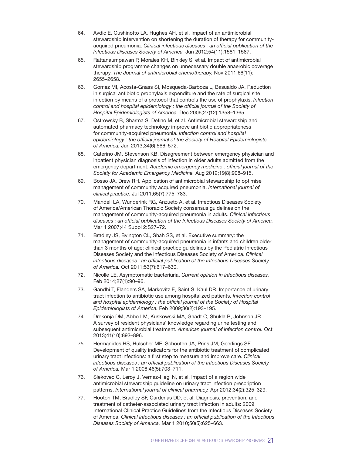- 64. Avdic E, Cushinotto LA, Hughes AH, et al. Impact of an antimicrobial stewardship intervention on shortening the duration of therapy for communityacquired pneumonia. *Clinical infectious diseases : an official publication of the Infectious Diseases Society of America.* Jun 2012;54(11):1581–1587.
- 65. Rattanaumpawan P, Morales KH, Binkley S, et al. Impact of antimicrobial stewardship programme changes on unnecessary double anaerobic coverage therapy. *The Journal of antimicrobial chemotherapy.* Nov 2011;66(11): 2655–2658.
- 66. Gomez MI, Acosta-Gnass SI, Mosqueda-Barboza L, Basualdo JA. Reduction in surgical antibiotic prophylaxis expenditure and the rate of surgical site infection by means of a protocol that controls the use of prophylaxis. *Infection control and hospital epidemiology : the official journal of the Society of Hospital Epidemiologists of America.* Dec 2006;27(12):1358–1365.
- 67. Ostrowsky B, Sharma S, Defino M, et al. Antimicrobial stewardship and automated pharmacy technology improve antibiotic appropriateness for community-acquired pneumonia. *Infection control and hospital epidemiology : the official journal of the Society of Hospital Epidemiologists of America.* Jun 2013;34(6):566–572.
- 68. Caterino JM, Stevenson KB. Disagreement between emergency physician and inpatient physician diagnosis of infection in older adults admitted from the emergency department. *Academic emergency medicine : official journal of the Society for Academic Emergency Medicine.* Aug 2012;19(8):908–915.
- 69. Bosso JA, Drew RH. Application of antimicrobial stewardship to optimise management of community acquired pneumonia. *International journal of clinical practice.* Jul 2011;65(7):775–783.
- 70. Mandell LA, Wunderink RG, Anzueto A, et al. Infectious Diseases Society of America/American Thoracic Society consensus guidelines on the management of community-acquired pneumonia in adults. *Clinical infectious diseases : an official publication of the Infectious Diseases Society of America.*  Mar 1 2007;44 Suppl 2:S27–72.
- 71. Bradley JS, Byington CL, Shah SS, et al. Executive summary: the management of community-acquired pneumonia in infants and children older than 3 months of age: clinical practice guidelines by the Pediatric Infectious Diseases Society and the Infectious Diseases Society of America. *Clinical infectious diseases : an official publication of the Infectious Diseases Society of America.* Oct 2011;53(7):617–630.
- 72. Nicolle LE. Asymptomatic bacteriuria. *Current opinion in infectious diseases.* Feb 2014;27(1):90–96.
- 73. Gandhi T, Flanders SA, Markovitz E, Saint S, Kaul DR. Importance of urinary tract infection to antibiotic use among hospitalized patients. *Infection control and hospital epidemiology : the official journal of the Society of Hospital Epidemiologists of America.* Feb 2009;30(2):193–195.
- 74. Drekonja DM, Abbo LM, Kuskowski MA, Gnadt C, Shukla B, Johnson JR. A survey of resident physicians' knowledge regarding urine testing and subsequent antimicrobial treatment. *American journal of infection control.* Oct 2013;41(10):892–896.
- 75. Hermanides HS, Hulscher ME, Schouten JA, Prins JM, Geerlings SE. Development of quality indicators for the antibiotic treatment of complicated urinary tract infections: a first step to measure and improve care. *Clinical infectious diseases : an official publication of the Infectious Diseases Society of America.* Mar 1 2008;46(5):703–711.
- 76. Slekovec C, Leroy J, Vernaz-Hegi N, et al. Impact of a region wide antimicrobial stewardship guideline on urinary tract infection prescription patterns. *International journal of clinical pharmacy.* Apr 2012;34(2):325–329.
- 77. Hooton TM, Bradley SF, Cardenas DD, et al. Diagnosis, prevention, and treatment of catheter-associated urinary tract infection in adults: 2009 International Clinical Practice Guidelines from the Infectious Diseases Society of America. *Clinical infectious diseases : an official publication of the Infectious Diseases Society of America.* Mar 1 2010;50(5):625–663.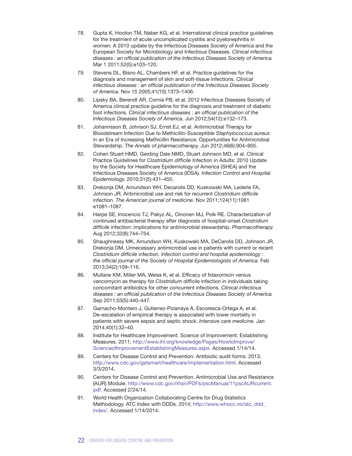- 78. Gupta K, Hooton TM, Naber KG, et al. International clinical practice guidelines for the treatment of acute uncomplicated cystitis and pyelonephritis in women: A 2010 update by the Infectious Diseases Society of America and the European Society for Microbiology and Infectious Diseases. *Clinical infectious diseases : an official publication of the Infectious Diseases Society of America.* Mar 1 2011;52(5):e103–120.
- 79. Stevens DL, Bisno AL, Chambers HF, et al. Practice guidelines for the diagnosis and management of skin and soft-tissue infections. *Clinical infectious diseases : an official publication of the Infectious Diseases Society of America.* Nov 15 2005;41(10):1373–1406.
- 80. Lipsky BA, Berendt AR, Cornia PB, et al. 2012 Infectious Diseases Society of America clinical practice guideline for the diagnosis and treatment of diabetic foot infections. *Clinical infectious diseases : an official publication of the Infectious Diseases Society of America.* Jun 2012;54(12):e132–173.
- 81. Johannsson B, Johnson SJ, Ernst EJ, et al. Antimicrobial Therapy for Bloodstream Infection Due to Methicillin-Susceptible *Staphylococcus aureus* in an Era of Increasing Methicillin Resistance: Opportunities for Antimicrobial Stewardship. *The Annals of pharmacotherapy.* Jun 2012;46(6):904–905.
- 82. Cohen Stuart HMD, Gerding Dale NMD, Stuart Johnson MD, et al. Clinical Practice Guidelines for *Clostridium difficile* Infection in Adults: 2010 Update by the Society for Healthcare Epidemiology of America (SHEA) and the Infectious Diseases Society of America (IDSA). *Infection Control and Hospital Epidemiology.* 2010;31(5):431–455.
- 83. Drekonja DM, Amundson WH, Decarolis DD, Kuskowski MA, Lederle FA, Johnson JR. Antimicrobial use and risk for recurrent *Clostridium difficile* infection. *The American journal of medicine.* Nov 2011;124(11):1081 e1081–1087.
- 84. Harpe SE, Inocencio TJ, Pakyz AL, Oinonen MJ, Polk RE. Characterization of continued antibacterial therapy after diagnosis of hospital-onset *Clostridium difficile* infection: implications for antimicrobial stewardship. *Pharmacotherapy.* Aug 2012;32(8):744–754.
- 85. Shaughnessy MK, Amundson WH, Kuskowski MA, DeCarolis DD, Johnson JR, Drekonja DM. Unnecessary antimicrobial use in patients with current or recent *Clostridium difficile* infection. *Infection control and hospital epidemiology : the official journal of the Society of Hospital Epidemiologists of America.* Feb 2013;34(2):109–116.
- 86. Mullane KM, Miller MA, Weiss K, et al. Efficacy of fidaxomicin versus vancomycin as therapy for *Clostridium difficile* infection in individuals taking concomitant antibiotics for other concurrent infections. *Clinical infectious diseases : an official publication of the Infectious Diseases Society of America.*  Sep 2011;53(5):440–447.
- 87. Garnacho-Montero J, Gutierrez-Pizarraya A, Escoresca-Ortega A, et al. De-escalation of empirical therapy is associated with lower mortality in patients with severe sepsis and septic shock. *Intensive care medicine.* Jan 2014;40(1):32–40.
- 88. Institute for Healthcare Improvement. Science of Improvement: Establishing Measures. 2011; [http://www.ihi.org/knowledge/Pages/HowtoImprove/](http://www.ihi.org/knowledge/Pages/HowtoImprove/ScienceofImprovementEstablishingMeasures.aspx) [ScienceofImprovementEstablishingMeasures.aspx.](http://www.ihi.org/knowledge/Pages/HowtoImprove/ScienceofImprovementEstablishingMeasures.aspx) Accessed 1/14/14.
- 89. Centers for Disease Control and Prevention. Antibiotic audit forms. 2013; [http://www.cdc.gov/getsmart/healthcare/implementation.html.](http://www.cdc.gov/getsmart/healthcare/implementation.html) Accessed 3/3/2014.
- 90. Centers for Disease Control and Prevention. Antimicrobial Use and Resistance (AUR) Module. [http://www.cdc.gov/nhsn/PDFs/pscManual/11pscAURcurrent.](http://www.cdc.gov/nhsn/PDFs/pscManual/11pscAURcurrent.pdf) [pdf](http://www.cdc.gov/nhsn/PDFs/pscManual/11pscAURcurrent.pdf). Accessed 2/24/14.
- 91. World Health Organization Collaborating Centre for Drug Statistics Methodology. ATC Index with DDDs. 2014; [http://www.whocc.no/atc\\_ddd\\_](http://www.whocc.no/atc_ddd_index/) [index/.](http://www.whocc.no/atc_ddd_index/) Accessed 1/14/2014.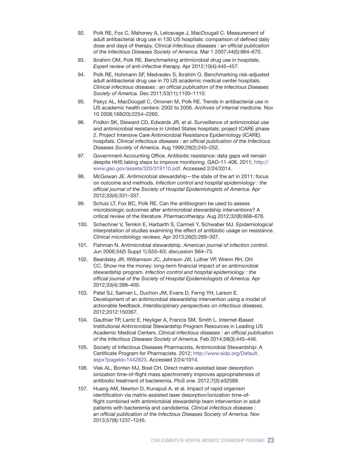- 92. Polk RE, Fox C, Mahoney A, Letcavage J, MacDougall C. Measurement of adult antibacterial drug use in 130 US hospitals: comparison of defined daily dose and days of therapy. *Clinical infectious diseases : an official publication of the Infectious Diseases Society of America.* Mar 1 2007;44(5):664–670.
- 93. Ibrahim OM, Polk RE. Benchmarking antimicrobial drug use in hospitals. *Expert review of anti-infective therapy.* Apr 2012;10(4):445–457.
- 94. Polk RE, Hohmann SF, Medvedev S, Ibrahim O. Benchmarking risk-adjusted adult antibacterial drug use in 70 US academic medical center hospitals. *Clinical infectious diseases : an official publication of the Infectious Diseases Society of America.* Dec 2011;53(11):1100–1110.
- 95. Pakyz AL, MacDougall C, Oinonen M, Polk RE. Trends in antibacterial use in US academic health centers: 2002 to 2006. *Archives of internal medicine.* Nov 10 2008;168(20):2254–2260.
- 96. Fridkin SK, Steward CD, Edwards JR, et al. Surveillance of antimicrobial use and antimicrobial resistance in United States hospitals: project ICARE phase 2. Project Intensive Care Antimicrobial Resistance Epidemiology (ICARE) hospitals. *Clinical infectious diseases : an official publication of the Infectious Diseases Society of America.* Aug 1999;29(2):245–252.
- 97. Government Accounting Office. Antibiotic resistance: data gaps will remain despite HHS taking steps to improve monitoring. GAO-11-406. 2011; [http://](http://www.gao.gov/assets/320/319110.pdf) [www.gao.gov/assets/320/319110.pdf](http://www.gao.gov/assets/320/319110.pdf). Accessed 2/24/2014.
- 98. McGowan JE. Antimicrobial stewardship—the state of the art in 2011: focus on outcome and methods. *Infection control and hospital epidemiology : the official journal of the Society of Hospital Epidemiologists of America.* Apr 2012;33(4):331–337.
- 99. Schulz LT, Fox BC, Polk RE. Can the antibiogram be used to assess microbiologic outcomes after antimicrobial stewardship interventions? A critical review of the literature. *Pharmacotherapy.* Aug 2012;32(8):668–676.
- 100. Schechner V, Temkin E, Harbarth S, Carmeli Y, Schwaber MJ. Epidemiological interpretation of studies examining the effect of antibiotic usage on resistance. *Clinical microbiology reviews.* Apr 2013;26(2):289–307.
- 101. Fishman N. Antimicrobial stewardship. *American journal of infection control.*  Jun 2006;34(5 Suppl 1):S55–63; discussion S64–73.
- 102. Beardsley JR, Williamson JC, Johnson JW, Luther VP, Wrenn RH, Ohl CC. Show me the money: long-term financial impact of an antimicrobial stewardship program. *Infection control and hospital epidemiology : the official journal of the Society of Hospital Epidemiologists of America.* Apr 2012;33(4):398–400.
- 103. Patel SJ, Saiman L, Duchon JM, Evans D, Ferng YH, Larson E. Development of an antimicrobial stewardship intervention using a model of actionable feedback. *Interdisciplinary perspectives on infectious diseases.* 2012;2012:150367.
- 104. Gauthier TP, Lantz E, Heyliger A, Francis SM, Smith L. Internet-Based Institutional Antimicrobial Stewardship Program Resources in Leading US Academic Medical Centers. *Clinical infectious diseases : an official publication of the Infectious Diseases Society of America.* Feb 2014;58(3):445–446.
- 105. Society of Infectious Diseases Pharmacists. Antimicrobial Stewardship: A Certificate Program for Pharmacists. 2012; [http://www.sidp.org/Default.](http://www.sidp.org/Default.aspx?pageId=1442823) [aspx?pageId=1442823](http://www.sidp.org/Default.aspx?pageId=1442823). Accessed 2/24/1014.
- 106. Vlek AL, Bonten MJ, Boel CH. Direct matrix-assisted laser desorption ionization time-of-flight mass spectrometry improves appropriateness of antibiotic treatment of bacteremia. *PloS one.* 2012;7(3):e32589.
- 107. Huang AM, Newton D, Kunapuli A, et al. Impact of rapid organism identification via matrix-assisted laser desorption/ionization time-offlight combined with antimicrobial stewardship team intervention in adult patients with bacteremia and candidemia. *Clinical infectious diseases : an official publication of the Infectious Diseases Society of America.* Nov 2013;57(9):1237–1245.